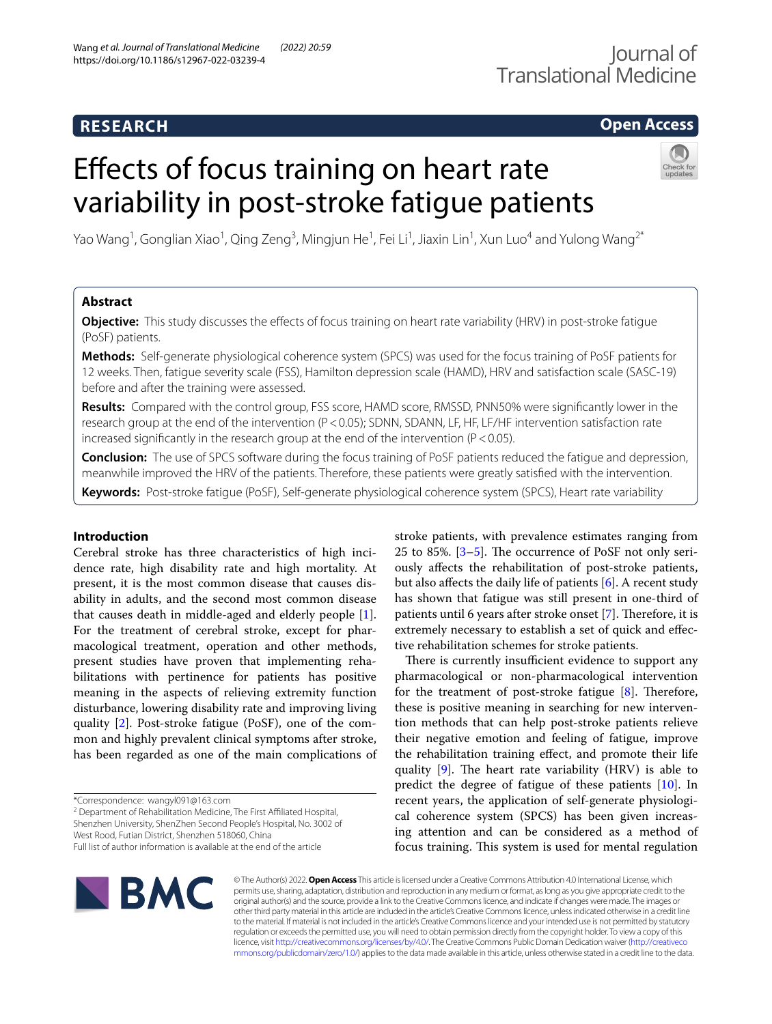# **RESEARCH**

## **Open Access**

# Effects of focus training on heart rate variability in post-stroke fatigue patients



Yao Wang<sup>1</sup>, Gonglian Xiao<sup>1</sup>, Qing Zeng<sup>3</sup>, Mingjun He<sup>1</sup>, Fei Li<sup>1</sup>, Jiaxin Lin<sup>1</sup>, Xun Luo<sup>4</sup> and Yulong Wang<sup>2\*</sup>

## **Abstract**

**Objective:** This study discusses the effects of focus training on heart rate variability (HRV) in post-stroke fatigue (PoSF) patients.

**Methods:** Self-generate physiological coherence system (SPCS) was used for the focus training of PoSF patients for 12 weeks. Then, fatigue severity scale (FSS), Hamilton depression scale (HAMD), HRV and satisfaction scale (SASC-19) before and after the training were assessed.

**Results:** Compared with the control group, FSS score, HAMD score, RMSSD, PNN50% were signifcantly lower in the research group at the end of the intervention (P<0.05); SDNN, SDANN, LF, HF, LF/HF intervention satisfaction rate increased significantly in the research group at the end of the intervention ( $P < 0.05$ ).

**Conclusion:** The use of SPCS software during the focus training of PoSF patients reduced the fatigue and depression, meanwhile improved the HRV of the patients. Therefore, these patients were greatly satisfed with the intervention.

**Keywords:** Post-stroke fatigue (PoSF), Self-generate physiological coherence system (SPCS), Heart rate variability

## **Introduction**

Cerebral stroke has three characteristics of high incidence rate, high disability rate and high mortality. At present, it is the most common disease that causes disability in adults, and the second most common disease that causes death in middle-aged and elderly people [\[1](#page-6-0)]. For the treatment of cerebral stroke, except for pharmacological treatment, operation and other methods, present studies have proven that implementing rehabilitations with pertinence for patients has positive meaning in the aspects of relieving extremity function disturbance, lowering disability rate and improving living quality [[2\]](#page-7-0). Post-stroke fatigue (PoSF), one of the common and highly prevalent clinical symptoms after stroke, has been regarded as one of the main complications of

<sup>2</sup> Department of Rehabilitation Medicine, The First Affiliated Hospital, Shenzhen University, ShenZhen Second People's Hospital, No. 3002 of

West Rood, Futian District, Shenzhen 518060, China

Full list of author information is available at the end of the article

stroke patients, with prevalence estimates ranging from 25 to 85%.  $[3-5]$  $[3-5]$ . The occurrence of PoSF not only seriously afects the rehabilitation of post-stroke patients, but also affects the daily life of patients  $[6]$ . A recent study has shown that fatigue was still present in one-third of patients until 6 years after stroke onset [\[7](#page-7-4)]. Therefore, it is extremely necessary to establish a set of quick and efective rehabilitation schemes for stroke patients.

There is currently insufficient evidence to support any pharmacological or non-pharmacological intervention for the treatment of post-stroke fatigue  $[8]$  $[8]$ . Therefore, these is positive meaning in searching for new intervention methods that can help post-stroke patients relieve their negative emotion and feeling of fatigue, improve the rehabilitation training efect, and promote their life quality  $[9]$  $[9]$ . The heart rate variability (HRV) is able to predict the degree of fatigue of these patients [\[10](#page-7-7)]. In recent years, the application of self-generate physiological coherence system (SPCS) has been given increasing attention and can be considered as a method of focus training. This system is used for mental regulation



© The Author(s) 2022. **Open Access** This article is licensed under a Creative Commons Attribution 4.0 International License, which permits use, sharing, adaptation, distribution and reproduction in any medium or format, as long as you give appropriate credit to the original author(s) and the source, provide a link to the Creative Commons licence, and indicate if changes were made. The images or other third party material in this article are included in the article's Creative Commons licence, unless indicated otherwise in a credit line to the material. If material is not included in the article's Creative Commons licence and your intended use is not permitted by statutory regulation or exceeds the permitted use, you will need to obtain permission directly from the copyright holder. To view a copy of this licence, visit [http://creativecommons.org/licenses/by/4.0/.](http://creativecommons.org/licenses/by/4.0/) The Creative Commons Public Domain Dedication waiver ([http://creativeco](http://creativecommons.org/publicdomain/zero/1.0/) [mmons.org/publicdomain/zero/1.0/](http://creativecommons.org/publicdomain/zero/1.0/)) applies to the data made available in this article, unless otherwise stated in a credit line to the data.

<sup>\*</sup>Correspondence: wangyl091@163.com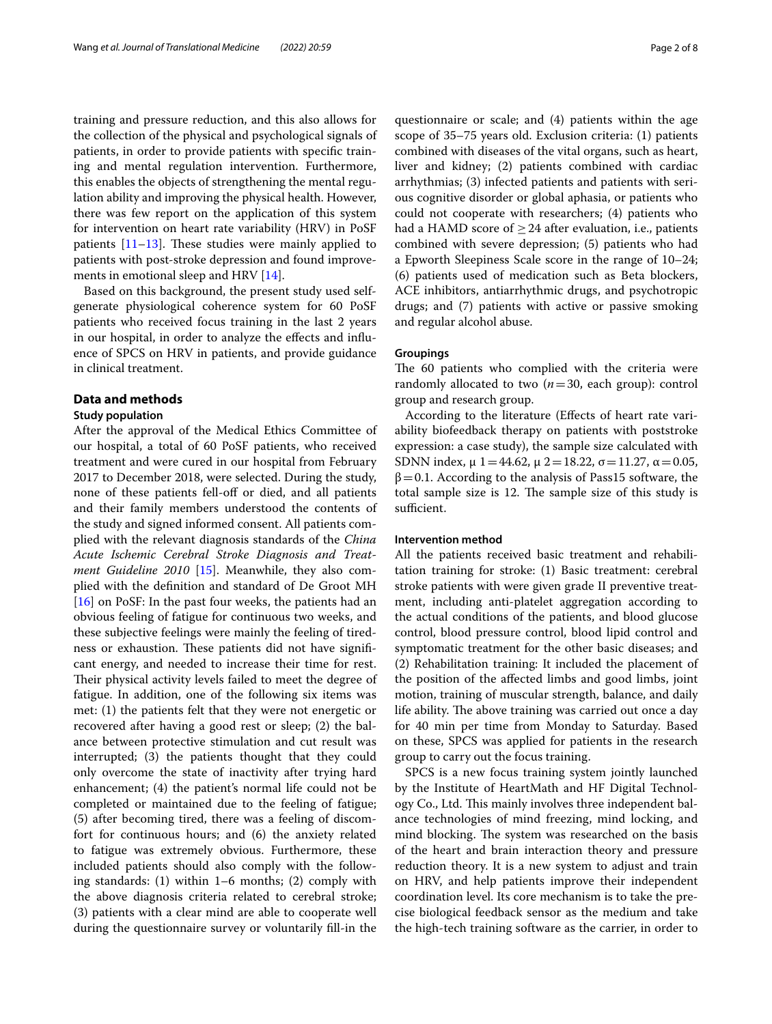training and pressure reduction, and this also allows for the collection of the physical and psychological signals of patients, in order to provide patients with specifc training and mental regulation intervention. Furthermore, this enables the objects of strengthening the mental regulation ability and improving the physical health. However, there was few report on the application of this system for intervention on heart rate variability (HRV) in PoSF patients  $[11-13]$  $[11-13]$  $[11-13]$ . These studies were mainly applied to patients with post-stroke depression and found improvements in emotional sleep and HRV [[14](#page-7-10)].

Based on this background, the present study used selfgenerate physiological coherence system for 60 PoSF patients who received focus training in the last 2 years in our hospital, in order to analyze the efects and infuence of SPCS on HRV in patients, and provide guidance in clinical treatment.

#### **Data and methods**

#### **Study population**

After the approval of the Medical Ethics Committee of our hospital, a total of 60 PoSF patients, who received treatment and were cured in our hospital from February 2017 to December 2018, were selected. During the study, none of these patients fell-off or died, and all patients and their family members understood the contents of the study and signed informed consent. All patients complied with the relevant diagnosis standards of the *China Acute Ischemic Cerebral Stroke Diagnosis and Treatment Guideline 2010* [[15\]](#page-7-11). Meanwhile, they also complied with the defnition and standard of De Groot MH [[16\]](#page-7-12) on PoSF: In the past four weeks, the patients had an obvious feeling of fatigue for continuous two weeks, and these subjective feelings were mainly the feeling of tiredness or exhaustion. These patients did not have significant energy, and needed to increase their time for rest. Their physical activity levels failed to meet the degree of fatigue. In addition, one of the following six items was met: (1) the patients felt that they were not energetic or recovered after having a good rest or sleep; (2) the balance between protective stimulation and cut result was interrupted; (3) the patients thought that they could only overcome the state of inactivity after trying hard enhancement; (4) the patient's normal life could not be completed or maintained due to the feeling of fatigue; (5) after becoming tired, there was a feeling of discomfort for continuous hours; and (6) the anxiety related to fatigue was extremely obvious. Furthermore, these included patients should also comply with the following standards: (1) within 1–6 months; (2) comply with the above diagnosis criteria related to cerebral stroke; (3) patients with a clear mind are able to cooperate well during the questionnaire survey or voluntarily fll-in the

questionnaire or scale; and (4) patients within the age scope of 35–75 years old. Exclusion criteria: (1) patients combined with diseases of the vital organs, such as heart, liver and kidney; (2) patients combined with cardiac arrhythmias; (3) infected patients and patients with serious cognitive disorder or global aphasia, or patients who could not cooperate with researchers; (4) patients who had a HAMD score of  $\geq$  24 after evaluation, i.e., patients combined with severe depression; (5) patients who had a Epworth Sleepiness Scale score in the range of 10–24; (6) patients used of medication such as Beta blockers, ACE inhibitors, antiarrhythmic drugs, and psychotropic drugs; and (7) patients with active or passive smoking and regular alcohol abuse.

#### **Groupings**

The 60 patients who complied with the criteria were randomly allocated to two (*n*=30, each group): control group and research group.

According to the literature (Efects of heart rate variability biofeedback therapy on patients with poststroke expression: a case study), the sample size calculated with SDNN index,  $\mu$  1 = 44.62,  $\mu$  2 = 18.22,  $\sigma$  = 11.27,  $\alpha$  = 0.05,  $β=0.1$ . According to the analysis of Pass15 software, the total sample size is 12. The sample size of this study is sufficient.

#### **Intervention method**

All the patients received basic treatment and rehabilitation training for stroke: (1) Basic treatment: cerebral stroke patients with were given grade II preventive treatment, including anti-platelet aggregation according to the actual conditions of the patients, and blood glucose control, blood pressure control, blood lipid control and symptomatic treatment for the other basic diseases; and (2) Rehabilitation training: It included the placement of the position of the afected limbs and good limbs, joint motion, training of muscular strength, balance, and daily life ability. The above training was carried out once a day for 40 min per time from Monday to Saturday. Based on these, SPCS was applied for patients in the research group to carry out the focus training.

SPCS is a new focus training system jointly launched by the Institute of HeartMath and HF Digital Technology Co., Ltd. This mainly involves three independent balance technologies of mind freezing, mind locking, and mind blocking. The system was researched on the basis of the heart and brain interaction theory and pressure reduction theory. It is a new system to adjust and train on HRV, and help patients improve their independent coordination level. Its core mechanism is to take the precise biological feedback sensor as the medium and take the high-tech training software as the carrier, in order to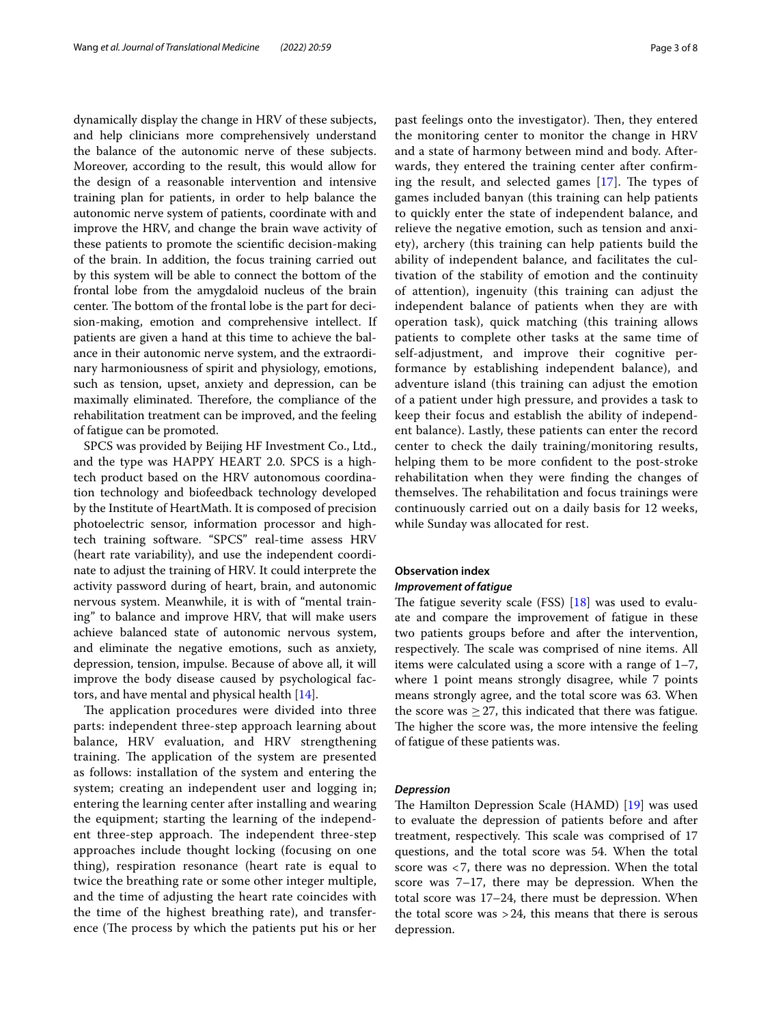dynamically display the change in HRV of these subjects, and help clinicians more comprehensively understand the balance of the autonomic nerve of these subjects. Moreover, according to the result, this would allow for the design of a reasonable intervention and intensive training plan for patients, in order to help balance the autonomic nerve system of patients, coordinate with and improve the HRV, and change the brain wave activity of these patients to promote the scientifc decision-making of the brain. In addition, the focus training carried out by this system will be able to connect the bottom of the frontal lobe from the amygdaloid nucleus of the brain center. The bottom of the frontal lobe is the part for decision-making, emotion and comprehensive intellect. If patients are given a hand at this time to achieve the balance in their autonomic nerve system, and the extraordinary harmoniousness of spirit and physiology, emotions, such as tension, upset, anxiety and depression, can be maximally eliminated. Therefore, the compliance of the rehabilitation treatment can be improved, and the feeling of fatigue can be promoted.

SPCS was provided by Beijing HF Investment Co., Ltd., and the type was HAPPY HEART 2.0. SPCS is a hightech product based on the HRV autonomous coordination technology and biofeedback technology developed by the Institute of HeartMath. It is composed of precision photoelectric sensor, information processor and hightech training software. "SPCS" real-time assess HRV (heart rate variability), and use the independent coordinate to adjust the training of HRV. It could interprete the activity password during of heart, brain, and autonomic nervous system. Meanwhile, it is with of "mental training" to balance and improve HRV, that will make users achieve balanced state of autonomic nervous system, and eliminate the negative emotions, such as anxiety, depression, tension, impulse. Because of above all, it will improve the body disease caused by psychological factors, and have mental and physical health [\[14](#page-7-10)].

The application procedures were divided into three parts: independent three-step approach learning about balance, HRV evaluation, and HRV strengthening training. The application of the system are presented as follows: installation of the system and entering the system; creating an independent user and logging in; entering the learning center after installing and wearing the equipment; starting the learning of the independent three-step approach. The independent three-step approaches include thought locking (focusing on one thing), respiration resonance (heart rate is equal to twice the breathing rate or some other integer multiple, and the time of adjusting the heart rate coincides with the time of the highest breathing rate), and transference (The process by which the patients put his or her past feelings onto the investigator). Then, they entered the monitoring center to monitor the change in HRV and a state of harmony between mind and body. Afterwards, they entered the training center after confrming the result, and selected games  $[17]$  $[17]$ . The types of games included banyan (this training can help patients to quickly enter the state of independent balance, and relieve the negative emotion, such as tension and anxiety), archery (this training can help patients build the ability of independent balance, and facilitates the cultivation of the stability of emotion and the continuity of attention), ingenuity (this training can adjust the independent balance of patients when they are with operation task), quick matching (this training allows patients to complete other tasks at the same time of self-adjustment, and improve their cognitive performance by establishing independent balance), and adventure island (this training can adjust the emotion of a patient under high pressure, and provides a task to keep their focus and establish the ability of independent balance). Lastly, these patients can enter the record center to check the daily training/monitoring results, helping them to be more confdent to the post-stroke rehabilitation when they were fnding the changes of themselves. The rehabilitation and focus trainings were continuously carried out on a daily basis for 12 weeks, while Sunday was allocated for rest.

### **Observation index**

#### *Improvement of fatigue*

The fatigue severity scale (FSS)  $[18]$  $[18]$  was used to evaluate and compare the improvement of fatigue in these two patients groups before and after the intervention, respectively. The scale was comprised of nine items. All items were calculated using a score with a range of 1–7, where 1 point means strongly disagree, while 7 points means strongly agree, and the total score was 63. When the score was  $\geq$  27, this indicated that there was fatigue. The higher the score was, the more intensive the feeling of fatigue of these patients was.

#### *Depression*

The Hamilton Depression Scale (HAMD) [\[19](#page-7-15)] was used to evaluate the depression of patients before and after treatment, respectively. This scale was comprised of 17 questions, and the total score was 54. When the total score was <7, there was no depression. When the total score was 7–17, there may be depression. When the total score was 17–24, there must be depression. When the total score was  $>24$ , this means that there is serous depression.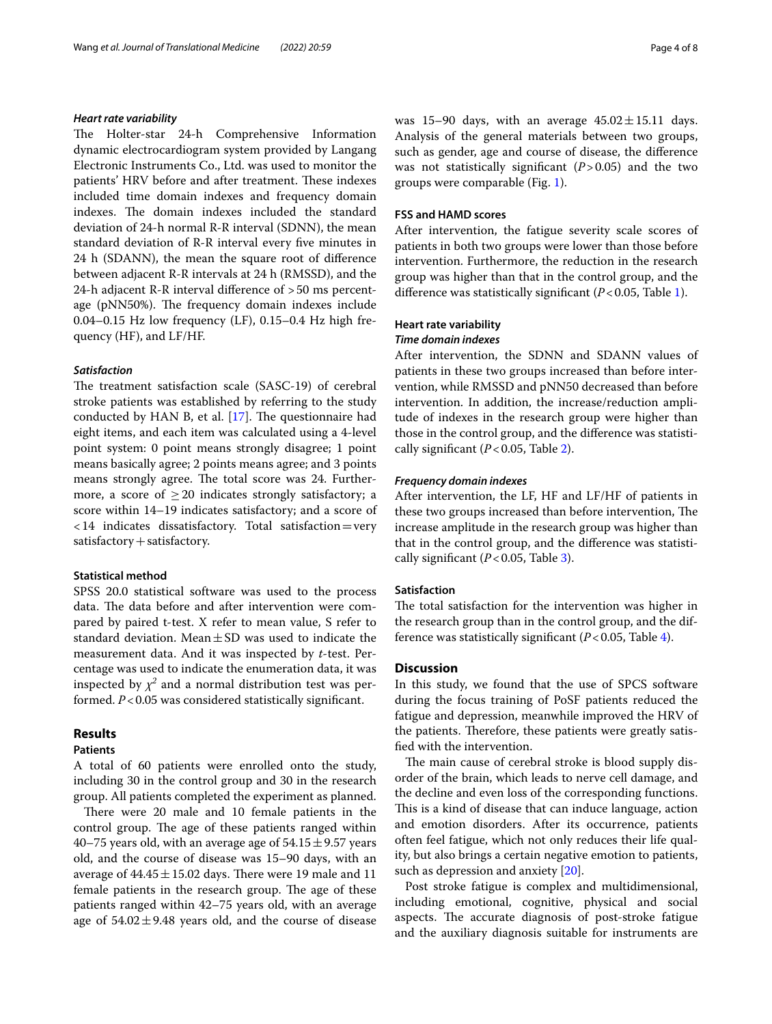#### *Heart rate variability*

The Holter-star 24-h Comprehensive Information dynamic electrocardiogram system provided by Langang Electronic Instruments Co., Ltd. was used to monitor the patients' HRV before and after treatment. These indexes included time domain indexes and frequency domain indexes. The domain indexes included the standard deviation of 24-h normal R-R interval (SDNN), the mean standard deviation of R-R interval every fve minutes in 24 h (SDANN), the mean the square root of diference between adjacent R-R intervals at 24 h (RMSSD), and the 24-h adjacent R-R interval diference of >50 ms percentage (pNN50%). The frequency domain indexes include 0.04–0.15 Hz low frequency (LF), 0.15–0.4 Hz high frequency (HF), and LF/HF.

## *Satisfaction*

The treatment satisfaction scale (SASC-19) of cerebral stroke patients was established by referring to the study conducted by HAN B, et al.  $[17]$  $[17]$ . The questionnaire had eight items, and each item was calculated using a 4-level point system: 0 point means strongly disagree; 1 point means basically agree; 2 points means agree; and 3 points means strongly agree. The total score was 24. Furthermore, a score of  $\geq 20$  indicates strongly satisfactory; a score within 14–19 indicates satisfactory; and a score of <14 indicates dissatisfactory. Total satisfaction=very satisfactory + satisfactory.

#### **Statistical method**

SPSS 20.0 statistical software was used to the process data. The data before and after intervention were compared by paired t-test. X refer to mean value, S refer to standard deviation. Mean $\pm$ SD was used to indicate the measurement data. And it was inspected by *t*-test. Percentage was used to indicate the enumeration data, it was inspected by  $\chi^2$  and a normal distribution test was performed.  $P < 0.05$  was considered statistically significant.

## **Results**

#### **Patients**

A total of 60 patients were enrolled onto the study, including 30 in the control group and 30 in the research group. All patients completed the experiment as planned.

There were 20 male and 10 female patients in the control group. The age of these patients ranged within 40–75 years old, with an average age of  $54.15 \pm 9.57$  years old, and the course of disease was 15–90 days, with an average of  $44.45 \pm 15.02$  days. There were 19 male and 11 female patients in the research group. The age of these patients ranged within 42–75 years old, with an average age of  $54.02 \pm 9.48$  years old, and the course of disease was 15–90 days, with an average  $45.02 \pm 15.11$  days. Analysis of the general materials between two groups, such as gender, age and course of disease, the diference was not statistically signifcant (*P*>0.05) and the two groups were comparable (Fig. [1](#page-4-0)).

#### **FSS and HAMD scores**

After intervention, the fatigue severity scale scores of patients in both two groups were lower than those before intervention. Furthermore, the reduction in the research group was higher than that in the control group, and the diference was statistically signifcant (*P*<0.05, Table [1](#page-4-1)).

#### **Heart rate variability**

#### *Time domain indexes*

After intervention, the SDNN and SDANN values of patients in these two groups increased than before intervention, while RMSSD and pNN50 decreased than before intervention. In addition, the increase/reduction amplitude of indexes in the research group were higher than those in the control group, and the diference was statistically signifcant (*P*<0.05, Table [2\)](#page-5-0).

#### *Frequency domain indexes*

After intervention, the LF, HF and LF/HF of patients in these two groups increased than before intervention, The increase amplitude in the research group was higher than that in the control group, and the diference was statistically signifcant (*P*<0.05, Table [3\)](#page-5-1).

#### **Satisfaction**

The total satisfaction for the intervention was higher in the research group than in the control group, and the difference was statistically significant  $(P<0.05$ , Table [4\)](#page-5-2).

## **Discussion**

In this study, we found that the use of SPCS software during the focus training of PoSF patients reduced the fatigue and depression, meanwhile improved the HRV of the patients. Therefore, these patients were greatly satisfed with the intervention.

The main cause of cerebral stroke is blood supply disorder of the brain, which leads to nerve cell damage, and the decline and even loss of the corresponding functions. This is a kind of disease that can induce language, action and emotion disorders. After its occurrence, patients often feel fatigue, which not only reduces their life quality, but also brings a certain negative emotion to patients, such as depression and anxiety [[20](#page-7-16)].

Post stroke fatigue is complex and multidimensional, including emotional, cognitive, physical and social aspects. The accurate diagnosis of post-stroke fatigue and the auxiliary diagnosis suitable for instruments are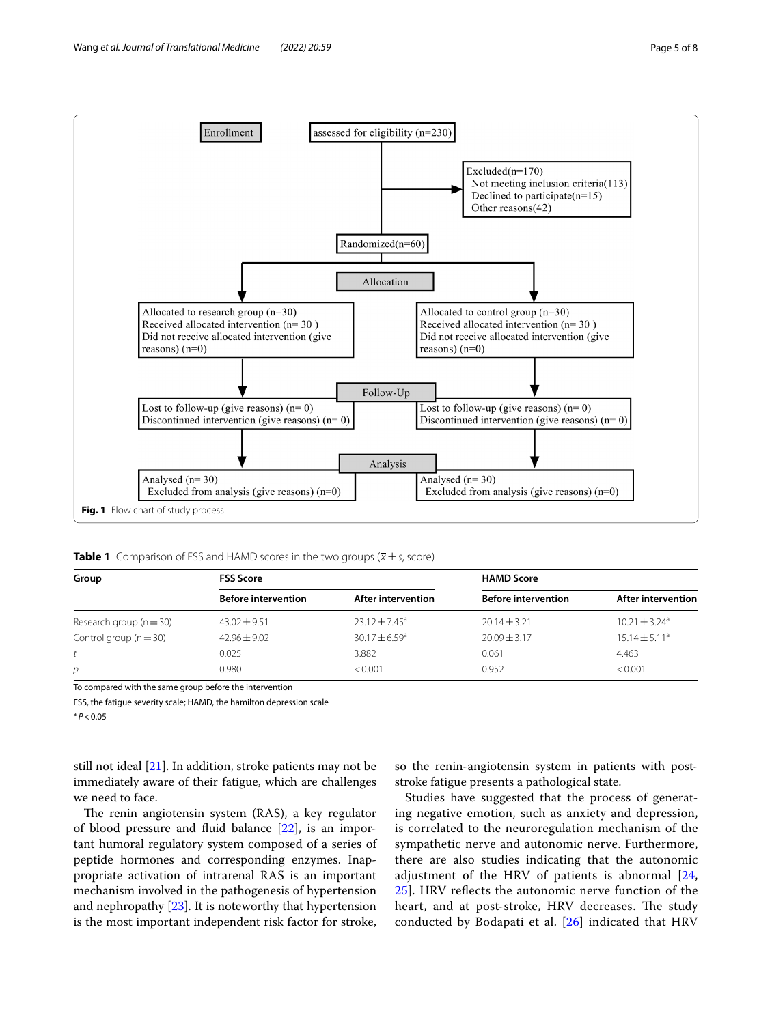

<span id="page-4-1"></span><span id="page-4-0"></span>**Table 1** Comparison of FSS and HAMD scores in the two groups ( $\overline{x} \pm s$ , score)

| Group                       | <b>FSS Score</b>           |                        | <b>HAMD Score</b>          |                               |  |
|-----------------------------|----------------------------|------------------------|----------------------------|-------------------------------|--|
|                             | <b>Before intervention</b> | After intervention     | <b>Before intervention</b> | After intervention            |  |
| Research group ( $n = 30$ ) | $43.02 \pm 9.51$           | $23.12 \pm 7.45^a$     | $20.14 \pm 3.21$           | $10.21 \pm 3.24$ <sup>a</sup> |  |
| Control group $(n = 30)$    | $42.96 + 9.02$             | $30.17 + 6.59^{\circ}$ | $20.09 \pm 3.17$           | $15.14 \pm 5.11^a$            |  |
|                             | 0.025                      | 3.882                  | 0.061                      | 4.463                         |  |
| р                           | 0.980                      | < 0.001                | 0.952                      | < 0.001                       |  |

To compared with the same group before the intervention

FSS, the fatigue severity scale; HAMD, the hamilton depression scale

 $A^a$   $P < 0.05$ 

still not ideal  $[21]$ . In addition, stroke patients may not be immediately aware of their fatigue, which are challenges we need to face.

The renin angiotensin system (RAS), a key regulator of blood pressure and fuid balance [\[22](#page-7-18)], is an important humoral regulatory system composed of a series of peptide hormones and corresponding enzymes. Inappropriate activation of intrarenal RAS is an important mechanism involved in the pathogenesis of hypertension and nephropathy [\[23](#page-7-19)]. It is noteworthy that hypertension is the most important independent risk factor for stroke,

so the renin-angiotensin system in patients with poststroke fatigue presents a pathological state.

Studies have suggested that the process of generating negative emotion, such as anxiety and depression, is correlated to the neuroregulation mechanism of the sympathetic nerve and autonomic nerve. Furthermore, there are also studies indicating that the autonomic adjustment of the HRV of patients is abnormal [\[24](#page-7-20), [25\]](#page-7-21). HRV refects the autonomic nerve function of the heart, and at post-stroke, HRV decreases. The study conducted by Bodapati et al. [[26](#page-7-22)] indicated that HRV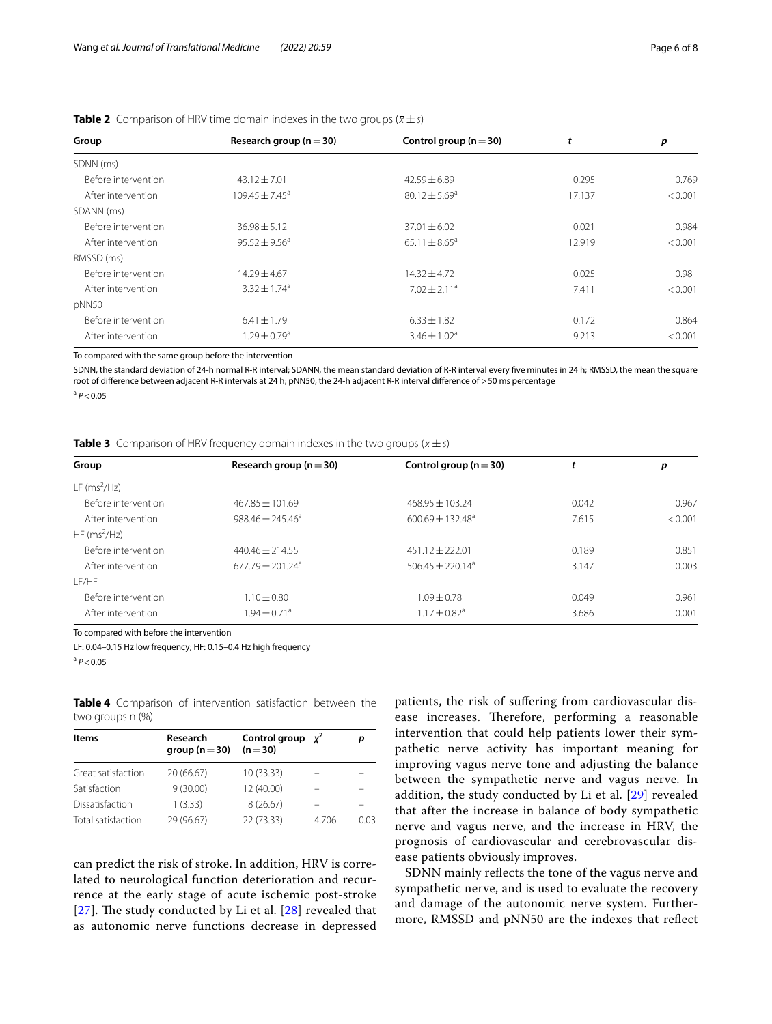| Group               | Research group ( $n = 30$ )  | Control group ( $n = 30$ )   | t      | p       |
|---------------------|------------------------------|------------------------------|--------|---------|
| SDNN (ms)           |                              |                              |        |         |
| Before intervention | $43.12 \pm 7.01$             | $42.59 \pm 6.89$             | 0.295  | 0.769   |
| After intervention  | $109.45 \pm 7.45^{\circ}$    | $80.12 \pm 5.69^{\circ}$     | 17.137 | < 0.001 |
| SDANN (ms)          |                              |                              |        |         |
| Before intervention | $36.98 \pm 5.12$             | $37.01 \pm 6.02$             | 0.021  | 0.984   |
| After intervention  | $95.52 \pm 9.56^a$           | $65.11 \pm 8.65^a$           | 12.919 | < 0.001 |
| RMSSD (ms)          |                              |                              |        |         |
| Before intervention | $14.29 \pm 4.67$             | $14.32 \pm 4.72$             | 0.025  | 0.98    |
| After intervention  | $3.32 + 1.74$ <sup>a</sup>   | $7.02 \pm 2.11$ <sup>a</sup> | 7.411  | < 0.001 |
| pNN50               |                              |                              |        |         |
| Before intervention | $6.41 \pm 1.79$              | $6.33 \pm 1.82$              | 0.172  | 0.864   |
| After intervention  | $1.29 \pm 0.79$ <sup>a</sup> | $3.46 \pm 1.02^a$            | 9.213  | < 0.001 |

<span id="page-5-0"></span>

|  |  |  | <b>Table 2</b> Comparison of HRV time domain indexes in the two groups ( $\overline{x} \pm s$ ) |  |
|--|--|--|-------------------------------------------------------------------------------------------------|--|
|  |  |  |                                                                                                 |  |

To compared with the same group before the intervention

SDNN, the standard deviation of 24-h normal R-R interval; SDANN, the mean standard deviation of R-R interval every fve minutes in 24 h; RMSSD, the mean the square root of diference between adjacent R-R intervals at 24 h; pNN50, the 24-h adjacent R-R interval diference of >50 ms percentage

<sup>a</sup> *P*<0.05

<span id="page-5-1"></span>**Table 3** Comparison of HRV frequency domain indexes in the two groups  $(\overline{x} \pm s)$ 

| Group                                              | Research group ( $n = 30$ ) | Control group ( $n = 30$ )   | ι.    | р       |  |
|----------------------------------------------------|-----------------------------|------------------------------|-------|---------|--|
| $LF$ (ms <sup>2</sup> /Hz)                         |                             |                              |       |         |  |
| Before intervention                                | $467.85 \pm 101.69$         | $468.95 \pm 103.24$          | 0.042 | 0.967   |  |
| After intervention                                 | $988.46 + 245.46^a$         | $600.69 \pm 132.48^a$        | 7.615 | < 0.001 |  |
| $HF(ms^2/Hz)$                                      |                             |                              |       |         |  |
| Before intervention                                | $440.46 + 214.55$           | $451.12 + 222.01$            | 0.189 | 0.851   |  |
| After intervention                                 | $677.79 \pm 201.24^a$       | $506.45 \pm 220.14^a$        | 3.147 | 0.003   |  |
| I F/HF                                             |                             |                              |       |         |  |
| Before intervention<br>$1.10 + 0.80$               |                             | $1.09 + 0.78$                | 0.049 | 0.961   |  |
| $1.94 \pm 0.71$ <sup>a</sup><br>After intervention |                             | $1.17 \pm 0.82$ <sup>a</sup> | 3.686 | 0.001   |  |

To compared with before the intervention

LF: 0.04–0.15 Hz low frequency; HF: 0.15–0.4 Hz high frequency

<sup>a</sup> *P*<0.05

<span id="page-5-2"></span>

|                    | Table 4 Comparison of intervention satisfaction between the |  |  |
|--------------------|-------------------------------------------------------------|--|--|
| two groups $n$ $%$ |                                                             |  |  |

| Items              | Research<br>group ( $n = 30$ ) | Control group $x^2$<br>$(n=30)$ |       | D    |
|--------------------|--------------------------------|---------------------------------|-------|------|
| Great satisfaction | 20 (66.67)                     | 10(33.33)                       |       |      |
| Satisfaction       | 9(30.00)                       | 12 (40.00)                      |       |      |
| Dissatisfaction    | 1(3.33)                        | 8(26.67)                        |       |      |
| Total satisfaction | 29 (96.67)                     | 22 (73.33)                      | 4.706 | 0.03 |
|                    |                                |                                 |       |      |

can predict the risk of stroke. In addition, HRV is correlated to neurological function deterioration and recurrence at the early stage of acute ischemic post-stroke [[27](#page-7-23)]. The study conducted by Li et al.  $[28]$  $[28]$  revealed that as autonomic nerve functions decrease in depressed patients, the risk of sufering from cardiovascular disease increases. Therefore, performing a reasonable intervention that could help patients lower their sympathetic nerve activity has important meaning for improving vagus nerve tone and adjusting the balance between the sympathetic nerve and vagus nerve. In addition, the study conducted by Li et al. [[29\]](#page-7-25) revealed that after the increase in balance of body sympathetic nerve and vagus nerve, and the increase in HRV, the prognosis of cardiovascular and cerebrovascular disease patients obviously improves.

SDNN mainly refects the tone of the vagus nerve and sympathetic nerve, and is used to evaluate the recovery and damage of the autonomic nerve system. Furthermore, RMSSD and pNN50 are the indexes that refect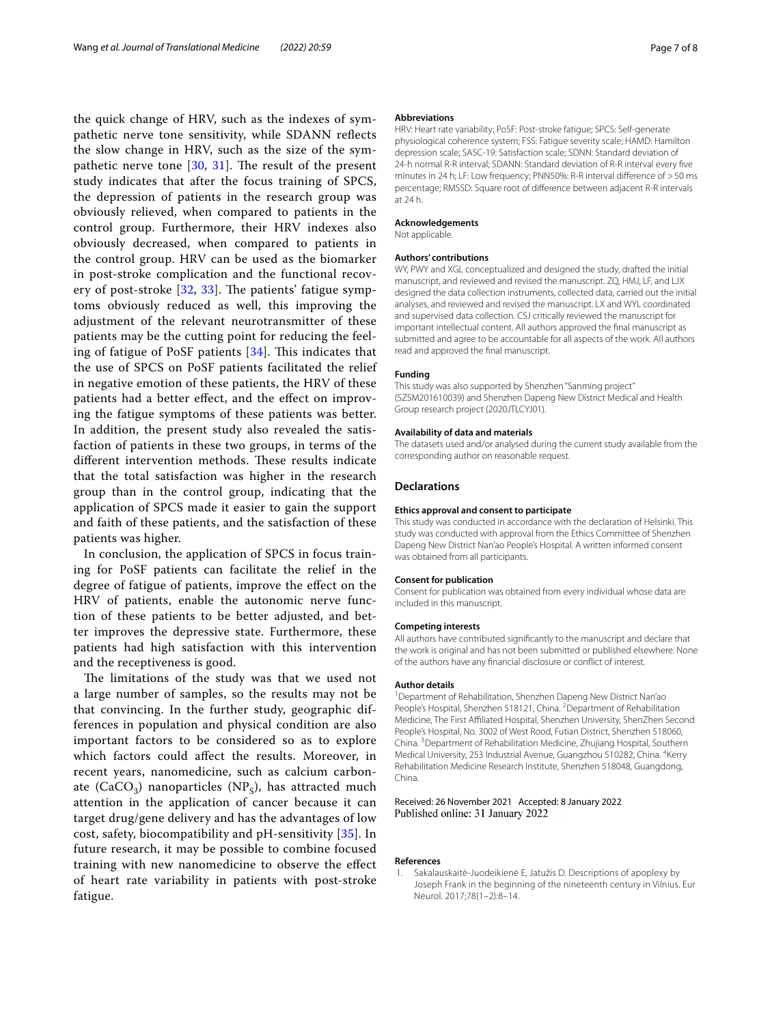the quick change of HRV, such as the indexes of sympathetic nerve tone sensitivity, while SDANN refects the slow change in HRV, such as the size of the sympathetic nerve tone  $[30, 31]$  $[30, 31]$  $[30, 31]$  $[30, 31]$ . The result of the present study indicates that after the focus training of SPCS, the depression of patients in the research group was obviously relieved, when compared to patients in the control group. Furthermore, their HRV indexes also obviously decreased, when compared to patients in the control group. HRV can be used as the biomarker in post-stroke complication and the functional recovery of post-stroke  $[32, 33]$  $[32, 33]$  $[32, 33]$  $[32, 33]$ . The patients' fatigue symptoms obviously reduced as well, this improving the adjustment of the relevant neurotransmitter of these patients may be the cutting point for reducing the feeling of fatigue of PoSF patients  $[34]$  $[34]$  $[34]$ . This indicates that the use of SPCS on PoSF patients facilitated the relief in negative emotion of these patients, the HRV of these patients had a better efect, and the efect on improving the fatigue symptoms of these patients was better. In addition, the present study also revealed the satisfaction of patients in these two groups, in terms of the different intervention methods. These results indicate that the total satisfaction was higher in the research group than in the control group, indicating that the application of SPCS made it easier to gain the support and faith of these patients, and the satisfaction of these patients was higher.

In conclusion, the application of SPCS in focus training for PoSF patients can facilitate the relief in the degree of fatigue of patients, improve the efect on the HRV of patients, enable the autonomic nerve function of these patients to be better adjusted, and better improves the depressive state. Furthermore, these patients had high satisfaction with this intervention and the receptiveness is good.

The limitations of the study was that we used not a large number of samples, so the results may not be that convincing. In the further study, geographic differences in population and physical condition are also important factors to be considered so as to explore which factors could afect the results. Moreover, in recent years, nanomedicine, such as calcium carbonate (CaCO<sub>3</sub>) nanoparticles (NP<sub>s</sub>), has attracted much attention in the application of cancer because it can target drug/gene delivery and has the advantages of low cost, safety, biocompatibility and pH-sensitivity [\[35](#page-7-31)]. In future research, it may be possible to combine focused training with new nanomedicine to observe the efect of heart rate variability in patients with post-stroke fatigue.

#### **Abbreviations**

HRV: Heart rate variability; PoSF: Post-stroke fatigue; SPCS: Self-generate physiological coherence system; FSS: Fatigue severity scale; HAMD: Hamilton depression scale; SASC-19: Satisfaction scale; SDNN: Standard deviation of 24-h normal R-R interval; SDANN: Standard deviation of R-R interval every fve minutes in 24 h; LF: Low frequency; PNN50%: R-R interval diference of >50 ms percentage; RMSSD: Square root of diference between adjacent R-R intervals at 24 h.

#### **Acknowledgements**

Not applicable.

#### **Authors' contributions**

WY, PWY and XGL conceptualized and designed the study, drafted the initial manuscript, and reviewed and revised the manuscript. ZQ, HMJ, LF, and LJX designed the data collection instruments, collected data, carried out the initial analyses, and reviewed and revised the manuscript. LX and WYL coordinated and supervised data collection. CSJ critically reviewed the manuscript for important intellectual content. All authors approved the fnal manuscript as submitted and agree to be accountable for all aspects of the work. All authors read and approved the fnal manuscript.

#### **Funding**

This study was also supported by Shenzhen "Sanming project" (SZSM201610039) and Shenzhen Dapeng New District Medical and Health Group research project (2020JTLCYJ01).

#### **Availability of data and materials**

The datasets used and/or analysed during the current study available from the corresponding author on reasonable request.

#### **Declarations**

#### **Ethics approval and consent to participate**

This study was conducted in accordance with the declaration of Helsinki. This study was conducted with approval from the Ethics Committee of Shenzhen Dapeng New District Nan'ao People's Hospital. A written informed consent was obtained from all participants.

#### **Consent for publication**

Consent for publication was obtained from every individual whose data are included in this manuscript.

#### **Competing interests**

All authors have contributed signifcantly to the manuscript and declare that the work is original and has not been submitted or published elsewhere. None of the authors have any fnancial disclosure or confict of interest.

#### **Author details**

<sup>1</sup> Department of Rehabilitation, Shenzhen Dapeng New District Nan'ao People's Hospital, Shenzhen 518121, China. <sup>2</sup> Department of Rehabilitation Medicine, The First Afliated Hospital, Shenzhen University, ShenZhen Second People's Hospital, No. 3002 of West Rood, Futian District, Shenzhen 518060, China.<sup>3</sup> Department of Rehabilitation Medicine, Zhujiang Hospital, Southern Medical University, 253 Industrial Avenue, Guangzhou 510282, China. <sup>4</sup>Kerry Rehabilitation Medicine Research Institute, Shenzhen 518048, Guangdong, China.

#### Received: 26 November 2021 Accepted: 8 January 2022 Published online: 31 January 2022

#### **References**

<span id="page-6-0"></span>1. Sakalauskaitė-Juodeikienė E, Jatužis D. Descriptions of apoplexy by Joseph Frank in the beginning of the nineteenth century in Vilnius. Eur Neurol. 2017;78(1–2):8–14.